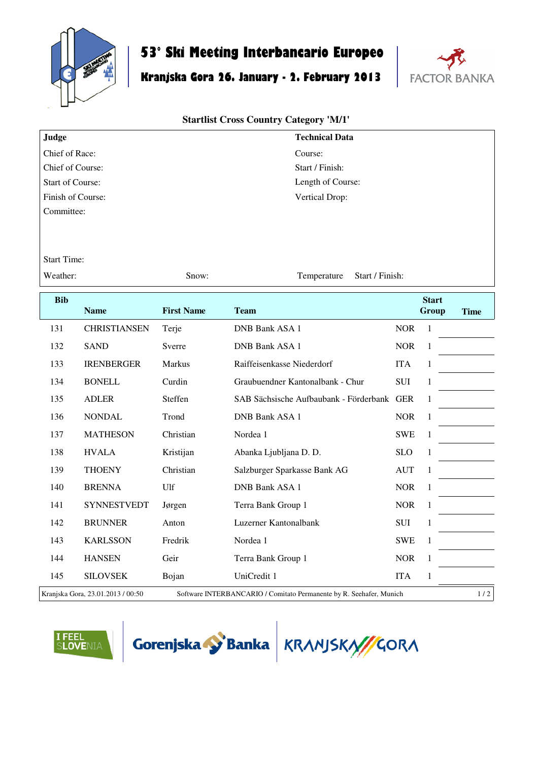

## **53° Ski Meeting Interbancario Europeo**

## **Kranjska Gora 26. January - 2. February 2013**



## **Startlist Cross Country Category 'M/1'**

| Judge                   | <b>Technical Data</b> |
|-------------------------|-----------------------|
| Chief of Race:          | Course:               |
| Chief of Course:        | Start / Finish:       |
| <b>Start of Course:</b> | Length of Course:     |
| Finish of Course:       | Vertical Drop:        |
| Committee:              |                       |

Start Time:

Weather: Show: Show: Temperature Start / Finish:

**Bib Name First Name Team Start Group Time** 131 CHRISTIANSEN Terje DNB Bank ASA 1 NOR 1 132 SAND Sverre DNB Bank ASA 1 NOR 1 133 IRENBERGER Markus Raiffeisenkasse Niederdorf ITA 1 134 BONELL Curdin Graubuendner Kantonalbank - Chur SUI 1 135 ADLER Steffen SAB Sächsische Aufbaubank - Förderbank GER 1 136 NONDAL Trond DNB Bank ASA 1 NOR 1 137 MATHESON Christian Nordea 1 SWE 1 138 HVALA Kristijan Abanka Ljubljana D. D. SLO 1 139 THOENY Christian Salzburger Sparkasse Bank AG AUT 1 140 BRENNA Ulf DNB Bank ASA 1 NOR 1 141 SYNNESTVEDT Jørgen Terra Bank Group 1 NOR 1 142 BRUNNER Anton Luzerner Kantonalbank SUI 1 143 KARLSSON Fredrik Nordea 1 SWE 1 144 HANSEN Geir Terra Bank Group 1 NOR 1 145 SILOVSEK Bojan UniCredit 1 ITA 1 Kranjska Gora, 23.01.2013 / 00:50 Software INTERBANCARIO / Comitato Permanente by R. Seehafer, Munich 1 / 2